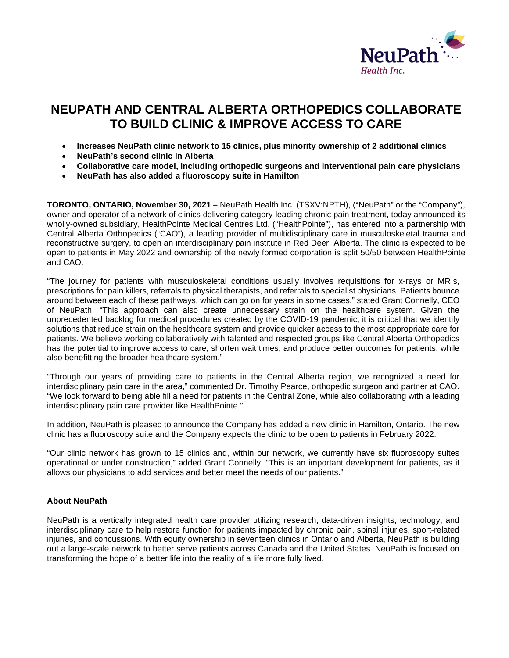

## **NEUPATH AND CENTRAL ALBERTA ORTHOPEDICS COLLABORATE TO BUILD CLINIC & IMPROVE ACCESS TO CARE**

- **Increases NeuPath clinic network to 15 clinics, plus minority ownership of 2 additional clinics**
- **NeuPath's second clinic in Alberta**
- **Collaborative care model, including orthopedic surgeons and interventional pain care physicians**
- **NeuPath has also added a fluoroscopy suite in Hamilton**

**TORONTO, ONTARIO, November 30, 2021 –** NeuPath Health Inc. (TSXV:NPTH), ("NeuPath" or the "Company"), owner and operator of a network of clinics delivering category-leading chronic pain treatment, today announced its wholly-owned subsidiary, HealthPointe Medical Centres Ltd. ("HealthPointe"), has entered into a partnership with Central Alberta Orthopedics ("CAO"), a leading provider of multidisciplinary care in musculoskeletal trauma and reconstructive surgery, to open an interdisciplinary pain institute in Red Deer, Alberta. The clinic is expected to be open to patients in May 2022 and ownership of the newly formed corporation is split 50/50 between HealthPointe and CAO.

"The journey for patients with musculoskeletal conditions usually involves requisitions for x-rays or MRIs, prescriptions for pain killers, referrals to physical therapists, and referrals to specialist physicians. Patients bounce around between each of these pathways, which can go on for years in some cases," stated Grant Connelly, CEO of NeuPath. "This approach can also create unnecessary strain on the healthcare system. Given the unprecedented backlog for medical procedures created by the COVID-19 pandemic, it is critical that we identify solutions that reduce strain on the healthcare system and provide quicker access to the most appropriate care for patients. We believe working collaboratively with talented and respected groups like Central Alberta Orthopedics has the potential to improve access to care, shorten wait times, and produce better outcomes for patients, while also benefitting the broader healthcare system."

"Through our years of providing care to patients in the Central Alberta region, we recognized a need for interdisciplinary pain care in the area," commented Dr. Timothy Pearce, orthopedic surgeon and partner at CAO. "We look forward to being able fill a need for patients in the Central Zone, while also collaborating with a leading interdisciplinary pain care provider like HealthPointe."

In addition, NeuPath is pleased to announce the Company has added a new clinic in Hamilton, Ontario. The new clinic has a fluoroscopy suite and the Company expects the clinic to be open to patients in February 2022.

"Our clinic network has grown to 15 clinics and, within our network, we currently have six fluoroscopy suites operational or under construction," added Grant Connelly. "This is an important development for patients, as it allows our physicians to add services and better meet the needs of our patients."

## **About NeuPath**

NeuPath is a vertically integrated health care provider utilizing research, data-driven insights, technology, and interdisciplinary care to help restore function for patients impacted by chronic pain, spinal injuries, sport-related injuries, and concussions. With equity ownership in seventeen clinics in Ontario and Alberta, NeuPath is building out a large-scale network to better serve patients across Canada and the United States. NeuPath is focused on transforming the hope of a better life into the reality of a life more fully lived.